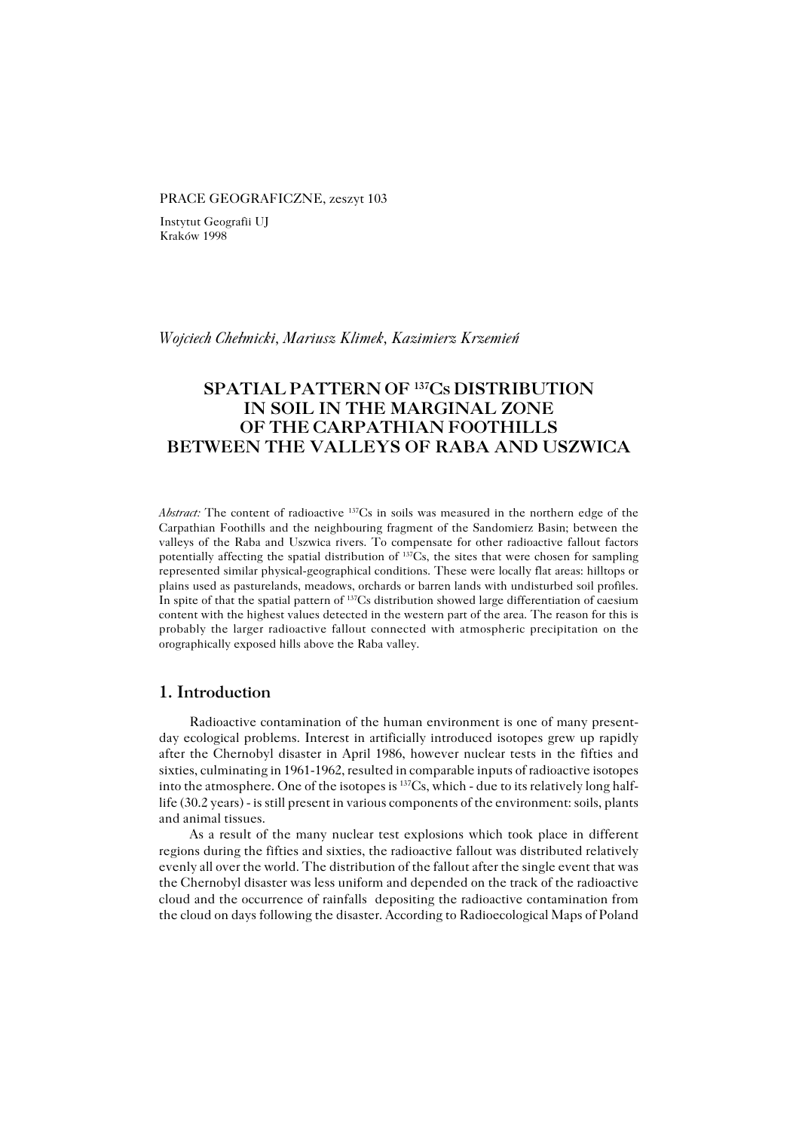#### PRACE GEOGRAFICZNE, zeszyt 103

Instytut Geografii UJ Kraków 1998

#### *Wojciech Chełmicki, Mariusz Klimek, Kazimierz Krzemień*

# **SPATIAL PATTERN OF <sup>137</sup>CS DISTRIBUTION IN SOIL IN THE MARGINAL ZONE OF THE CARPATHIAN FOOTHILLS BETWEEN THE VALLEYS OF RABA AND USZWICA**

*Abstract:* The content of radioactive 137Cs in soils was measured in the northern edge of the Carpathian Foothills and the neighbouring fragment of the Sandomierz Basin; between the valleys of the Raba and Uszwica rivers. To compensate for other radioactive fallout factors potentially affecting the spatial distribution of 137Cs, the sites that were chosen for sampling represented similar physical−geographical conditions. These were locally flat areas: hilltops or plains used as pasturelands, meadows, orchards or barren lands with undisturbed soil profiles. In spite of that the spatial pattern of <sup>137</sup>Cs distribution showed large differentiation of caesium content with the highest values detected in the western part of the area. The reason for this is probably the larger radioactive fallout connected with atmospheric precipitation on the orographically exposed hills above the Raba valley.

## **1. Introduction**

Radioactive contamination of the human environment is one of many present− day ecological problems. Interest in artificially introduced isotopes grew up rapidly after the Chernobyl disaster in April 1986, however nuclear tests in the fifties and sixties, culminating in 1961−1962, resulted in comparable inputs of radioactive isotopes into the atmosphere. One of the isotopes is 137Cs, which − due to its relatively long half− life (30.2 years) − is still present in various components of the environment: soils, plants and animal tissues.

As a result of the many nuclear test explosions which took place in different regions during the fifties and sixties, the radioactive fallout was distributed relatively evenly all over the world. The distribution of the fallout after the single event that was the Chernobyl disaster was less uniform and depended on the track of the radioactive cloud and the occurrence of rainfalls depositing the radioactive contamination from the cloud on days following the disaster. According to Radioecological Maps of Poland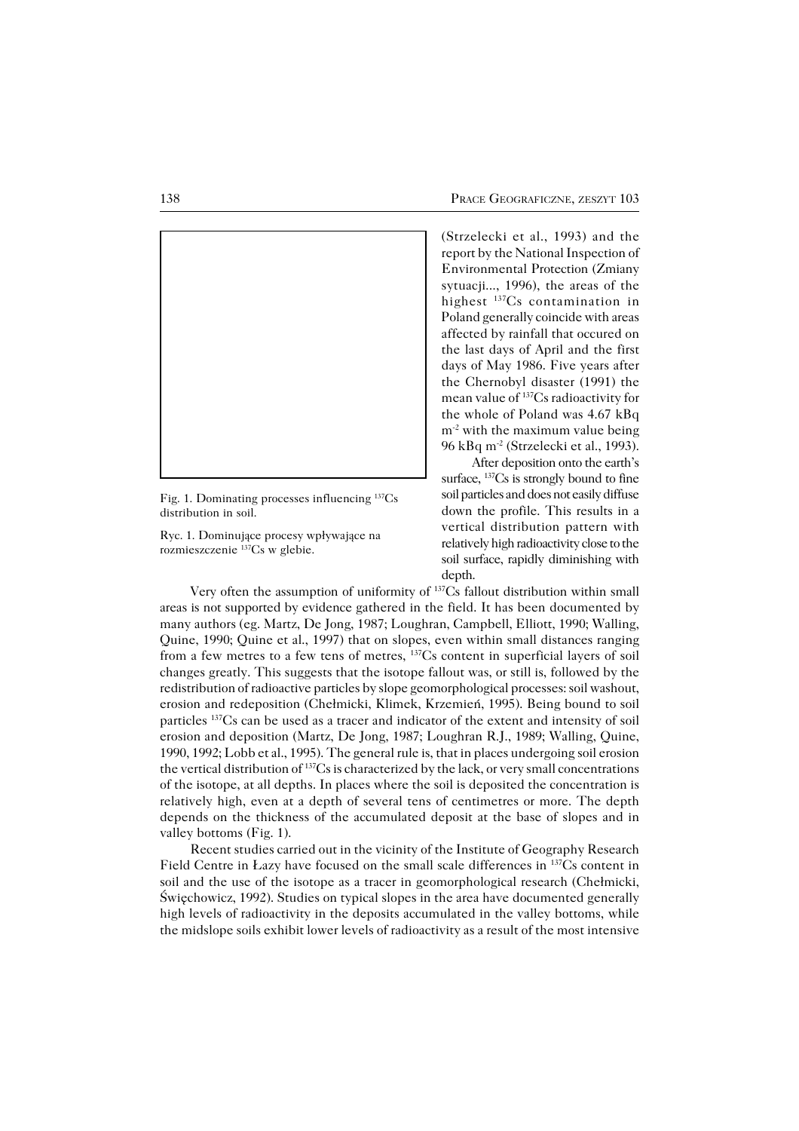

Fig. 1. Dominating processes influencing 137Cs distribution in soil.

Ryc. 1. Dominujące procesy wpływające na rozmieszczenie 137Cs w glebie.

(Strzelecki et al., 1993) and the report by the National Inspection of Environmental Protection (Zmiany sytuacji..., 1996), the areas of the highest 137Cs contamination in Poland generally coincide with areas affected by rainfall that occured on the last days of April and the first days of May 1986. Five years after the Chernobyl disaster (1991) the mean value of 137Cs radioactivity for the whole of Poland was 4.67 kBq m<sup>-2</sup> with the maximum value being 96 kBq m<sup>-2</sup> (Strzelecki et al., 1993).

After deposition onto the earth's surface,  $137Cs$  is strongly bound to fine soil particles and does not easily diffuse down the profile. This results in a vertical distribution pattern with relatively high radioactivity close to the soil surface, rapidly diminishing with depth.

Very often the assumption of uniformity of 137Cs fallout distribution within small areas is not supported by evidence gathered in the field. It has been documented by many authors (eg. Martz, De Jong, 1987; Loughran, Campbell, Elliott, 1990; Walling, Quine, 1990; Quine et al., 1997) that on slopes, even within small distances ranging from a few metres to a few tens of metres, 137Cs content in superficial layers of soil changes greatly. This suggests that the isotope fallout was, or still is, followed by the redistribution of radioactive particles by slope geomorphological processes: soil washout, erosion and redeposition (Chełmicki, Klimek, Krzemień, 1995). Being bound to soil particles 137Cs can be used as a tracer and indicator of the extent and intensity of soil erosion and deposition (Martz, De Jong, 1987; Loughran R.J., 1989; Walling, Quine, 1990, 1992; Lobb et al., 1995). The general rule is, that in places undergoing soil erosion the vertical distribution of 137Cs is characterized by the lack, or very small concentrations of the isotope, at all depths. In places where the soil is deposited the concentration is relatively high, even at a depth of several tens of centimetres or more. The depth depends on the thickness of the accumulated deposit at the base of slopes and in valley bottoms (Fig. 1).

Recent studies carried out in the vicinity of the Institute of Geography Research Field Centre in Łazy have focused on the small scale differences in 137Cs content in soil and the use of the isotope as a tracer in geomorphological research (Chełmicki, Święchowicz, 1992). Studies on typical slopes in the area have documented generally high levels of radioactivity in the deposits accumulated in the valley bottoms, while the midslope soils exhibit lower levels of radioactivity as a result of the most intensive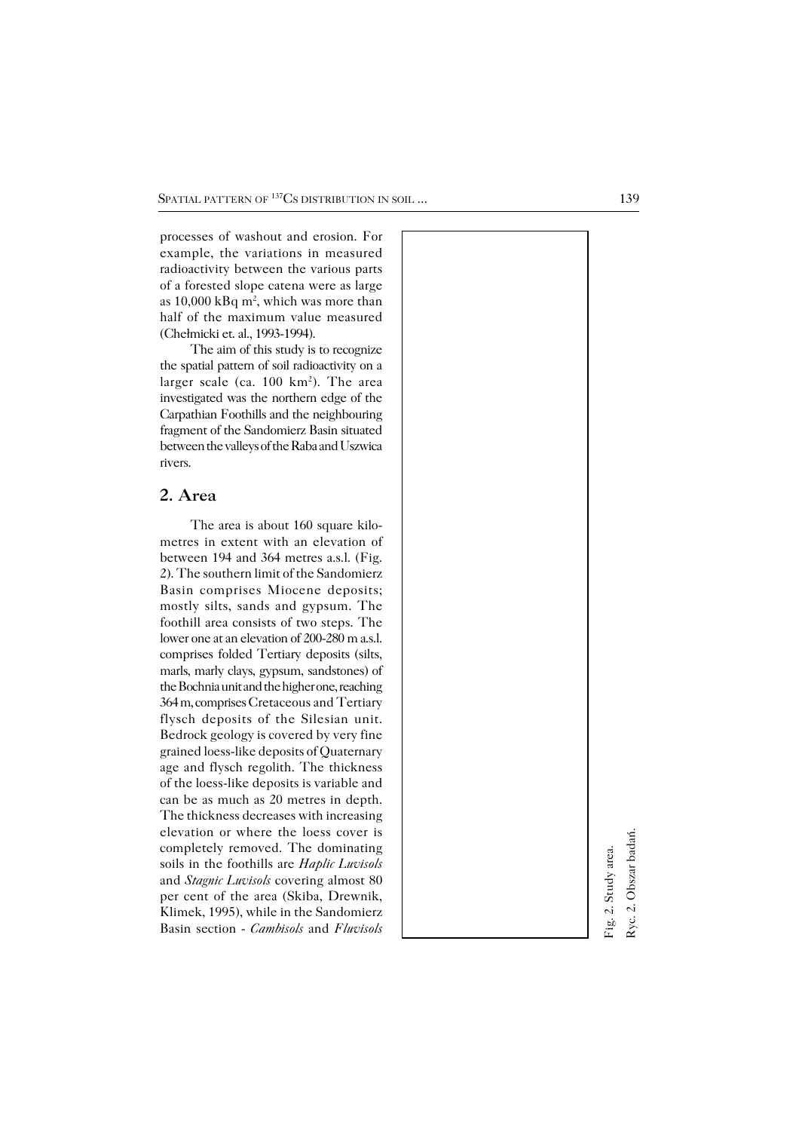processes of washout and erosion. For example, the variations in measured radioactivity between the various parts of a forested slope catena were as large as  $10,000$  kBq m<sup>2</sup>, which was more than half of the maximum value measured (Chełmicki et. al., 1993−1994).

The aim of this study is to recognize the spatial pattern of soil radioactivity on a larger scale (ca. 100 km 2 ). The area investigated was the northern edge of the Carpathian Foothills and the neighbouring fragment of the Sandomierz Basin situated between the valleys of the Raba and Uszwica rivers.

# **2. Area**

The area is about 160 square kilo− metres in extent with an elevation of between 194 and 364 metres a.s.l. (Fig. 2). The southern limit of the Sandomierz Basin comprises Miocene deposits; mostly silts, sands and gypsum. The foothill area consists of two steps. The lower one at an elevation of 200−280 m a.s.l. comprises folded Tertiary deposits (silts, marls, marly clays, gypsum, sandstones) of the Bochnia unit and the higher one, reaching 364 m, comprises Cretaceous and Tertiary flysch deposits of the Silesian unit. Bedrock geology is covered by very fine grained loess−like deposits of Quaternary age and flysch regolith. The thickness of the loess−like deposits is variable and can be as much as 20 metres in depth. The thickness decreases with increasing elevation or where the loess cover is completely removed. The dominating soils in the foothills are *Haplic Luvisols* and *Stagnic Luvisols* covering almost 80 per cent of the area (Skiba, Drewnik, Klimek, 1995), while in the Sandomierz Basin section − *Cambisols* and *Fluvisols*

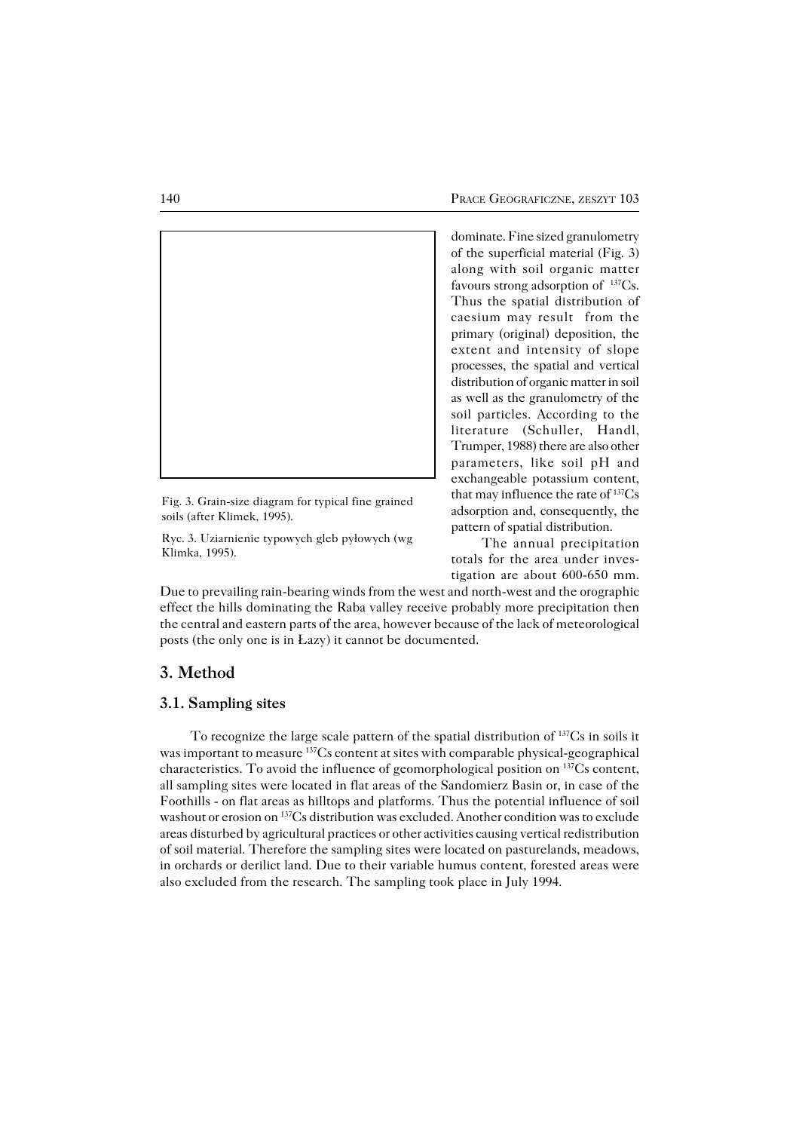

Fig. 3. Grain−size diagram for typical fine grained soils (after Klimek, 1995).

Ryc. 3. Uziarnienie typowych gleb pyłowych (wg Klimka, 1995).

dominate. Fine sized granulometry of the superficial material (Fig. 3) along with soil organic matter favours strong adsorption of 137Cs. Thus the spatial distribution of caesium may result from the primary (original) deposition, the extent and intensity of slope processes, the spatial and vertical distribution of organic matter in soil as well as the granulometry of the soil particles. According to the literature (Schuller, Handl, Trumper, 1988) there are also other parameters, like soil pH and exchangeable potassium content, that may influence the rate of 137Cs adsorption and, consequently, the pattern of spatial distribution.

The annual precipitation totals for the area under inves− tigation are about 600−650 mm.

Due to prevailing rain−bearing winds from the west and north−west and the orographic effect the hills dominating the Raba valley receive probably more precipitation then the central and eastern parts of the area, however because of the lack of meteorological posts (the only one is in Łazy) it cannot be documented.

# **3. Method**

### **3.1. Sampling sites**

To recognize the large scale pattern of the spatial distribution of 137Cs in soils it was important to measure <sup>137</sup>Cs content at sites with comparable physical-geographical characteristics. To avoid the influence of geomorphological position on 137Cs content, all sampling sites were located in flat areas of the Sandomierz Basin or, in case of the Foothills − on flat areas as hilltops and platforms. Thus the potential influence of soil washout or erosion on 137Cs distribution was excluded. Another condition was to exclude areas disturbed by agricultural practices or other activities causing vertical redistribution of soil material. Therefore the sampling sites were located on pasturelands, meadows, in orchards or derilict land. Due to their variable humus content, forested areas were also excluded from the research. The sampling took place in July 1994.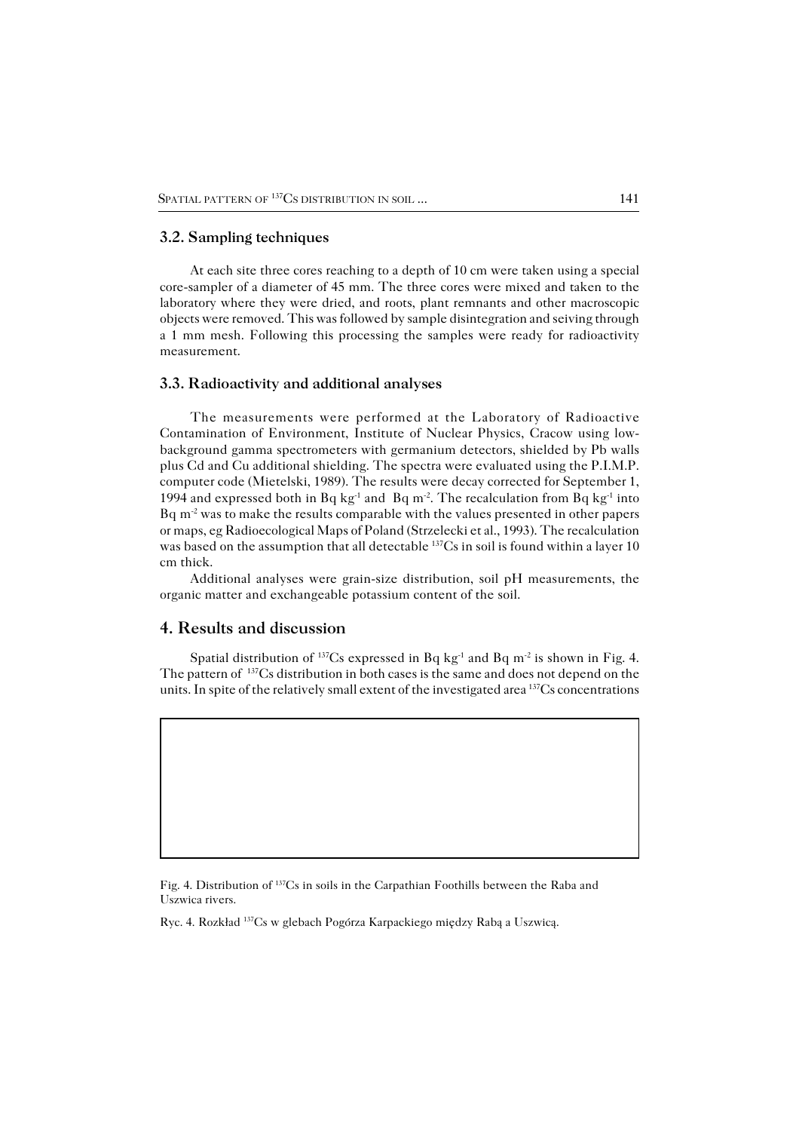### **3.2. Sampling techniques**

At each site three cores reaching to a depth of 10 cm were taken using a special core−sampler of a diameter of 45 mm. The three cores were mixed and taken to the laboratory where they were dried, and roots, plant remnants and other macroscopic objects were removed. This was followed by sample disintegration and seiving through a 1 mm mesh. Following this processing the samples were ready for radioactivity measurement.

#### **3.3. Radioactivity and additional analyses**

The measurements were performed at the Laboratory of Radioactive Contamination of Environment, Institute of Nuclear Physics, Cracow using low− background gamma spectrometers with germanium detectors, shielded by Pb walls plus Cd and Cu additional shielding. The spectra were evaluated using the P.I.M.P. computer code (Mietelski, 1989). The results were decay corrected for September 1, 1994 and expressed both in Bq kg<sup>-1</sup> and Bq m<sup>-2</sup>. The recalculation from Bq kg<sup>-1</sup> into Bqm−2 was to make the results comparable with the values presented in other papers or maps, eg Radioecological Maps of Poland (Strzelecki et al., 1993). The recalculation was based on the assumption that all detectable <sup>137</sup>Cs in soil is found within a layer 10 cm thick.

Additional analyses were grain−size distribution, soil pH measurements, the organic matter and exchangeable potassium content of the soil.

## **4. Results and discussion**

Spatial distribution of <sup>137</sup>Cs expressed in Bq kg<sup>-1</sup> and Bq m<sup>-2</sup> is shown in Fig. 4. The pattern of <sup>137</sup>Cs distribution in both cases is the same and does not depend on the units. In spite of the relatively small extent of the investigated area  $137Cs$  concentrations

Fig. 4. Distribution of 137Cs in soils in the Carpathian Foothills between the Raba and Uszwica rivers.

Ryc. 4. Rozkład 137Cs w glebach Pogórza Karpackiego między Rabą a Uszwicą.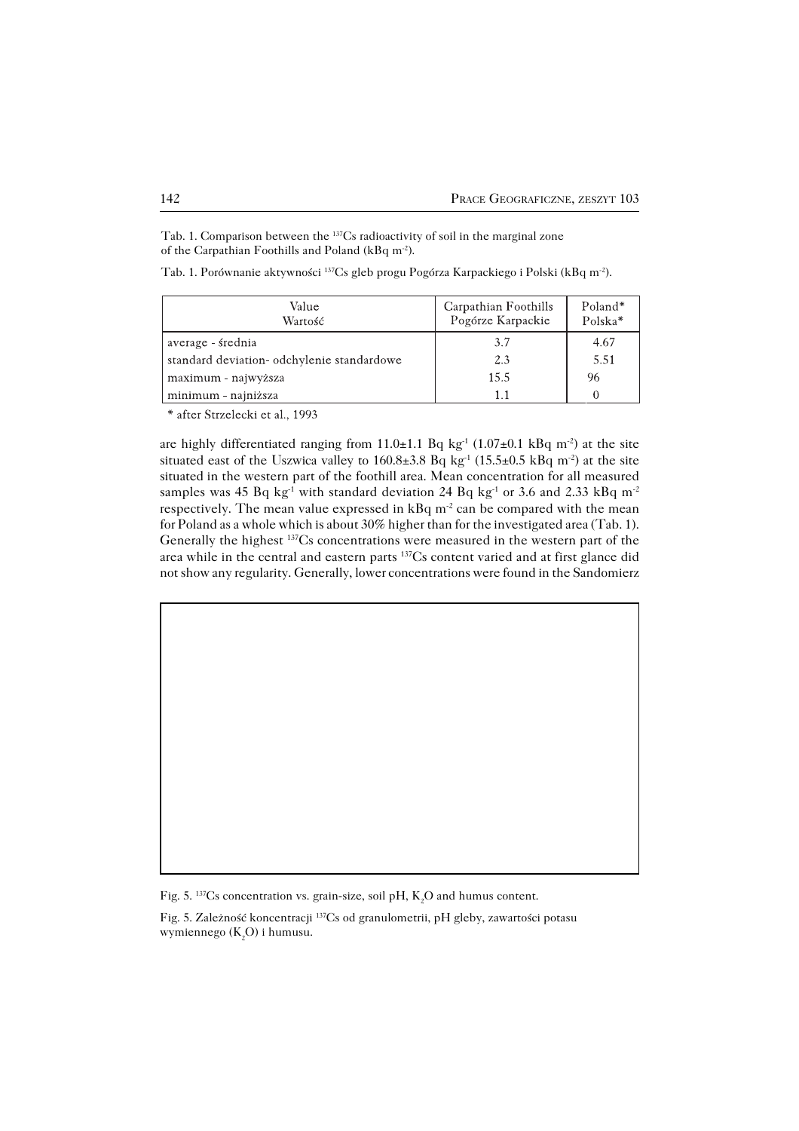Tab. 1. Comparison between the 137Cs radioactivity of soil in the marginal zone of the Carpathian Foothills and Poland (kBq m−2).

| Tab. 1. Porównanie aktywności <sup>137</sup> Cs gleb progu Pogórza Karpackiego i Polski (kBq m <sup>-2</sup> ). |
|-----------------------------------------------------------------------------------------------------------------|
|-----------------------------------------------------------------------------------------------------------------|

| Value<br>Wartość                           | Carpathian Foothills<br>Pogórze Karpackie | Poland*<br>Polska* |
|--------------------------------------------|-------------------------------------------|--------------------|
| average - średnia                          | 3.7                                       | 4.67               |
| standard deviation- odchylenie standardowe | 2.3                                       | 5.51               |
| maximum - najwyższa                        | 15.5                                      | 96                 |
| minimum - najniższa                        |                                           |                    |

\* after Strzelecki et al., 1993

are highly differentiated ranging from 11.0±1.1 Bq kg<sup>-1</sup> (1.07±0.1 kBq m<sup>-2</sup>) at the site situated east of the Uszwica valley to 160.8±3.8 Bq kg<sup>-1</sup> (15.5±0.5 kBq m<sup>-2</sup>) at the site situated in the western part of the foothill area. Mean concentration for all measured samples was 45 Bq kg<sup>-1</sup> with standard deviation 24 Bq kg<sup>-1</sup> or 3.6 and 2.33 kBq m<sup>-2</sup> respectively. The mean value expressed in kBq m<sup>-2</sup> can be compared with the mean for Poland as a whole which is about 30% higher than for the investigated area (Tab. 1). Generally the highest 137Cs concentrations were measured in the western part of the area while in the central and eastern parts 137Cs content varied and at first glance did not show any regularity. Generally, lower concentrations were found in the Sandomierz

Fig. 5. 137Cs concentration vs. grain−size, soil pH, K2O and humus content.

Fig. 5. Zależność koncentracji 137Cs od granulometrii, pH gleby, zawartości potasu wymiennego (K<sub>2</sub>O) i humusu.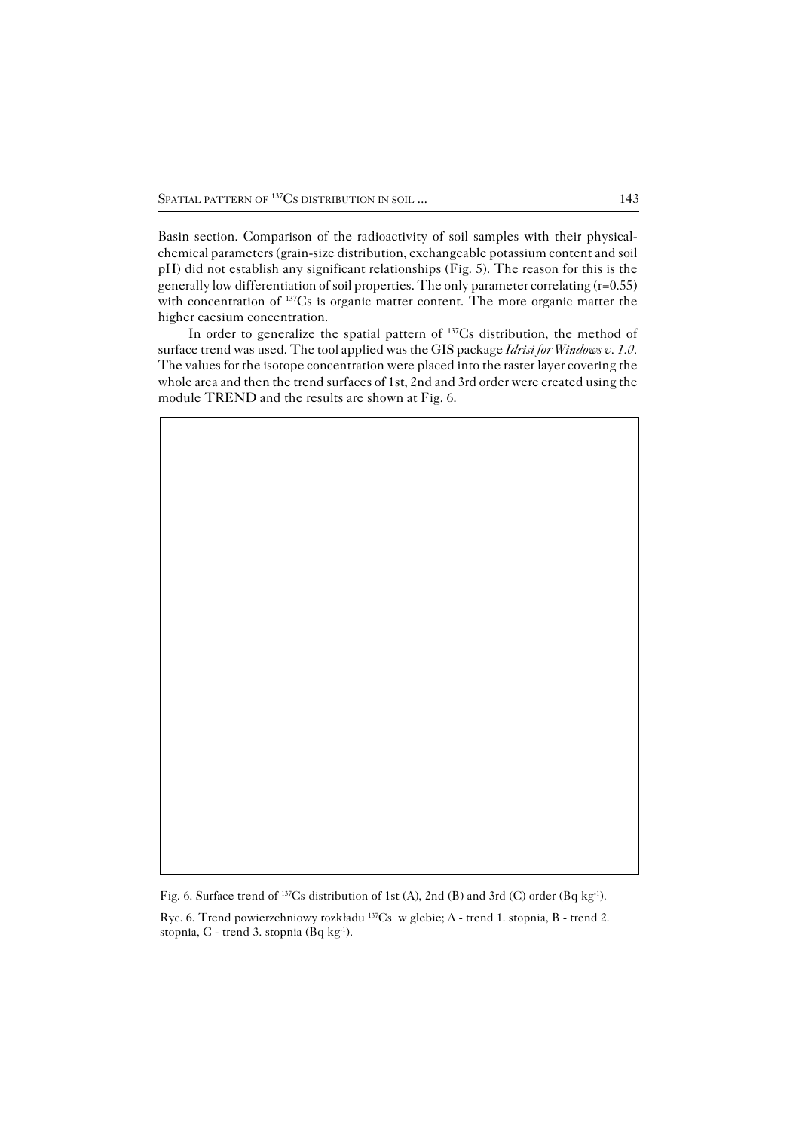Basin section. Comparison of the radioactivity of soil samples with their physical− chemical parameters (grain−size distribution, exchangeable potassium content and soil pH) did not establish any significant relationships (Fig. 5). The reason for this is the generally low differentiation of soil properties. The only parameter correlating (r=0.55) with concentration of <sup>137</sup>Cs is organic matter content. The more organic matter the higher caesium concentration.

In order to generalize the spatial pattern of <sup>137</sup>Cs distribution, the method of surface trend was used. The tool applied was the GIS package *Idrisi for Windows v. 1.0.* The values for the isotope concentration were placed into the raster layer covering the whole area and then the trend surfaces of 1st, 2nd and 3rd order were created using the module TREND and the results are shown at Fig. 6.

Fig. 6. Surface trend of <sup>137</sup>Cs distribution of 1st (A), 2nd (B) and 3rd (C) order (Bq kg<sup>-1</sup>).

Ryc. 6. Trend powierzchniowy rozkładu 137Cs w glebie; A − trend 1. stopnia, B − trend 2. stopnia, C − trend 3. stopnia (Bq kg−1).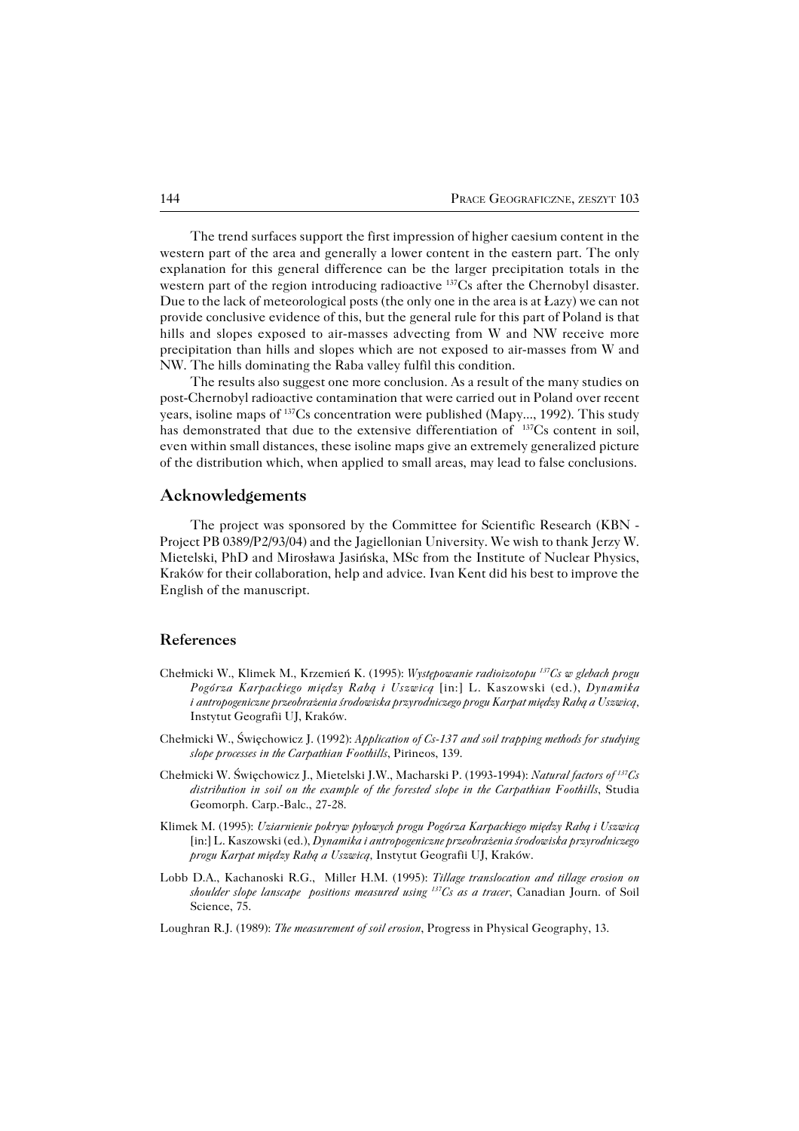The trend surfaces support the first impression of higher caesium content in the western part of the area and generally a lower content in the eastern part. The only explanation for this general difference can be the larger precipitation totals in the western part of the region introducing radioactive <sup>137</sup>Cs after the Chernobyl disaster. Due to the lack of meteorological posts (the only one in the area is at Łazy) we can not provide conclusive evidence of this, but the general rule for this part of Poland is that hills and slopes exposed to air−masses advecting from W and NW receive more precipitation than hills and slopes which are not exposed to air−masses from W and NW. The hills dominating the Raba valley fulfil this condition.

The results also suggest one more conclusion. As a result of the many studies on post−Chernobyl radioactive contamination that were carried out in Poland over recent years, isoline maps of 137Cs concentration were published (Mapy..., 1992). This study has demonstrated that due to the extensive differentiation of <sup>137</sup>Cs content in soil, even within small distances, these isoline maps give an extremely generalized picture of the distribution which, when applied to small areas, may lead to false conclusions.

### **Acknowledgements**

The project was sponsored by the Committee for Scientific Research (KBN -Project PB 0389/P2/93/04) and the Jagiellonian University. We wish to thank Jerzy W. Mietelski, PhD and Mirosława Jasińska, MSc from the Institute of Nuclear Physics, Kraków for their collaboration, help and advice. Ivan Kent did his best to improve the English of the manuscript.

### **References**

- Chełmicki W., Klimek M., Krzemień K. (1995): *Występowanie radioizotopu <sup>137</sup>Cs w glebach progu Pogórza Karpackiego między Rabą i Uszwicą* [in:] L. Kaszowski (ed.), *Dynamika iantropogeniczne przeobrażenia środowiska przyrodniczego progu Karpat między Rabą a Uszwicą,* Instytut Geografii UJ, Kraków.
- Chełmicki W., Święchowicz J. (1992): *Application of Cs−137 and soil trapping methods for studying slope processes in the Carpathian Foothills*, Pirineos, 139.
- Chełmicki W. Święchowicz J., Mietelski J.W., Macharski P. (1993−1994): *Natural factors of <sup>137</sup>Cs distribution in soil on the example of the forested slope in the Carpathian Foothills*, Studia Geomorph. Carp.−Balc., 27−28.
- Klimek M. (1995): *Uziarnienie pokryw pyłowych progu Pogórza Karpackiego między Rabą i Uszwicą* [in:] L. Kaszowski (ed.), *Dynamika i antropogeniczne przeobrażenia środowiska przyrodniczego progu Karpat między Rabą a Uszwicą,* Instytut Geografii UJ, Kraków.
- Lobb D.A., Kachanoski R.G., Miller H.M. (1995): *Tillage translocation and tillage erosion on shoulder slope lanscape positions measured using <sup>137</sup>Cs as a tracer*, Canadian Journ. of Soil Science, 75.
- Loughran R.J. (1989): *The measurement of soil erosion*, Progress in Physical Geography, 13.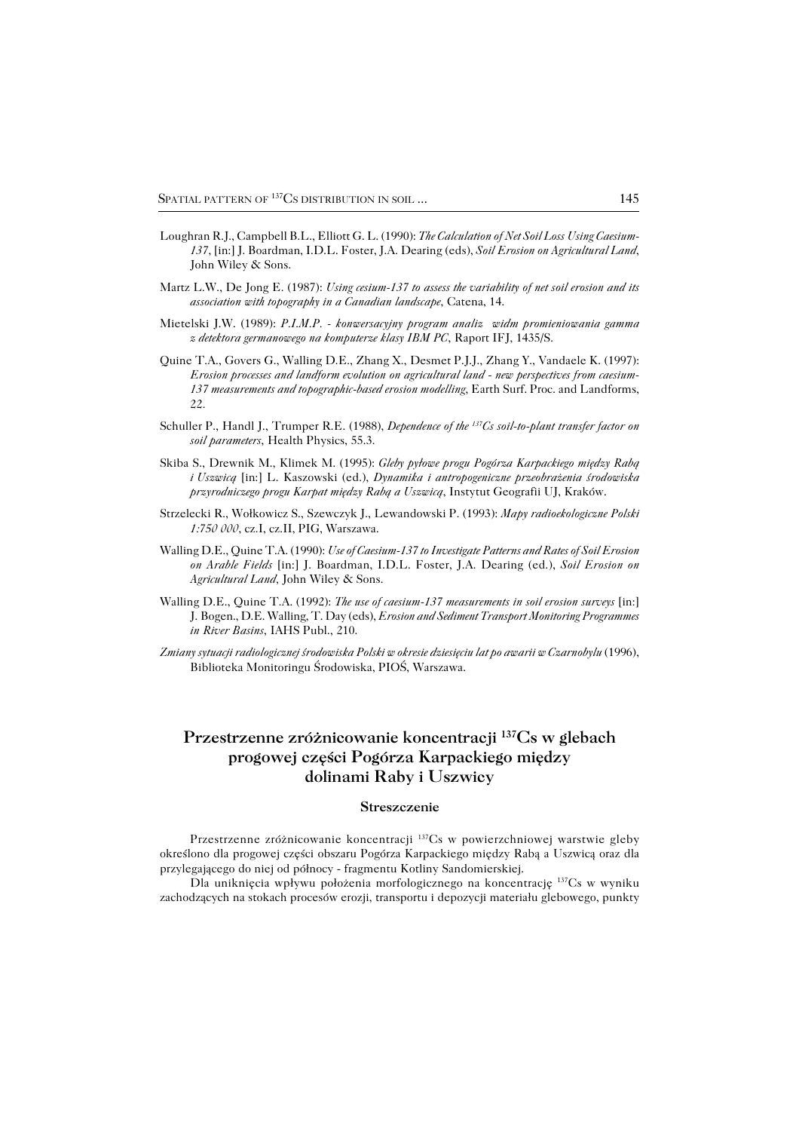- Loughran R.J., Campbell B.L., Elliott G. L. (1990): *The Calculation of Net Soil Loss Using Caesium− 137*, [in:] J. Boardman, I.D.L. Foster, J.A. Dearing (eds), *Soil Erosion on Agricultural Land*, John Wiley & Sons.
- Martz L.W., De Jong E. (1987): *Using cesium−137 to assess the variability of net soil erosion and its association with topography in a Canadian landscape*, Catena, 14.
- Mietelski J.W. (1989): *P.I.M.P. − konwersacyjny program analiz widm promieniowania gamma zdetektora germanowego na komputerze klasy IBM PC*, Raport IFJ, 1435/S.
- Quine T.A., Govers G., Walling D.E., Zhang X., Desmet P.J.J., Zhang Y., Vandaele K. (1997): *Erosion processes and landform evolution on agricultural land − new perspectives from caesium− 137 measurements and topographic−based erosion modelling*, Earth Surf. Proc. and Landforms, 22.
- Schuller P., Handl J., Trumper R.E. (1988), *Dependence of the <sup>137</sup>Cs soil−to−plant transfer factor on soil parameters*, Health Physics, 55.3.
- Skiba S., Drewnik M., Klimek M. (1995): *Gleby pyłowe progu Pogórza Karpackiego między Rabą iUszwicą* [in:] L. Kaszowski (ed.), *Dynamika i antropogeniczne przeobrażenia środowiska przyrodniczego progu Karpat między Rabą a Uszwicą*, Instytut Geografii UJ, Kraków.
- Strzelecki R., Wołkowicz S., Szewczyk J., Lewandowski P. (1993): *Mapy radioekologiczne Polski 1:750 000*, cz.I, cz.II, PIG, Warszawa.
- Walling D.E., Quine T.A. (1990): *Use of Caesium−137 to Investigate Patterns and Rates of Soil Erosion on Arable Fields* [in:] J. Boardman, I.D.L. Foster, J.A. Dearing (ed.), *Soil Erosion on Agricultural Land,* John Wiley & Sons.
- Walling D.E., Quine T.A. (1992): *The use of caesium−137 measurements in soil erosion surveys* [in:] J.Bogen., D.E. Walling, T. Day (eds), *Erosion and Sediment Transport Monitoring Programmes in River Basins*, IAHS Publ., 210.
- *Zmiany sytuacji radiologicznej środowiska Polski w okresie dziesięciu lat po awarii w Czarnobylu* (1996), Biblioteka Monitoringu Środowiska, PIOŚ, Warszawa.

# **Przestrzenne zróżnicowanie koncentracji <sup>137</sup>Cs w glebach progowej części Pogórza Karpackiego między dolinami Raby i Uszwicy**

#### **Streszczenie**

Przestrzenne zróżnicowanie koncentracji 137Cs w powierzchniowej warstwie gleby określono dla progowej części obszaru Pogórza Karpackiego między Rabą a Uszwicą oraz dla przylegającego do niej od północy − fragmentu Kotliny Sandomierskiej.

Dla uniknięcia wpływu położenia morfologicznego na koncentrację 137Cs w wyniku zachodzących na stokach procesów erozji, transportu i depozycji materiału glebowego, punkty